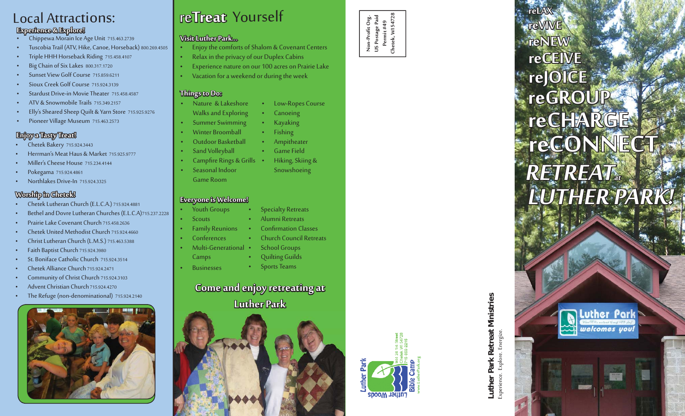## Local Attractions:

#### **Experience & Explore! xperience**

- Chippewa Morain Ice Age Unit 715.463.2739
- Tuscobia Trail (ATV, Hike, Canoe, Horseback) 800.269.4505
- Triple HHH Horseback Riding 715.458.4107
- Big Chain of Six Lakes 800.317.1720
- Sunset View Golf Course 715.859.6211
- Sioux Creek Golf Course 715.924.3139
- Stardust Drive-in Movie Theater 715.458.4587
- ATV & Snowmobile Trails 715.349.2157
- Elly's Sheared Sheep Quilt & Yarn Store 715.925.9276
- Pioneer Village Museum 715.463.2573

#### **Enjoy a Tasty Treat! njoy**

- Chetek Bakery 715.924.3443
- Herrman's Meat Haus & Market 715.925.9777
- Miller's Cheese House 715.234.4144
- Pokegama 715.924.4861
- Northlakes Drive-In 715.924.3325

#### **Worship in Chetek! orship**

- Chetek Lutheran Church (E.L.C.A.) 715.924.4881
- Bethel and Dovre Lutheran Churches (E.L.C.A)715.237.2228
- Prairie Lake Covenant Church 715.458.2636
- Chetek United Methodist Church 715.924.4660
- Christ Lutheran Church (L.M.S.) 715.463.5388
- Faith Baptist Church 715.924.3980
- St. Boniface Catholic Church 715.924.3514
- Chetek Alliance Church 715.924.2471
- Community of Christ Church 715.924.3103
- Advent Christian Church 715.924.4270
- The Refuge (non-denominational) 715.924.2140



# re**Treat** Yourself

#### **Visit Luther Park... isit**

- Enjoy the comforts of Shalom & Covenant Centers
- Relax in the privacy of our Duplex Cabins
- Experience nature on our 100 acres on Prairie Lake
- Vacation for a weekend or during the week

#### **Things to Do: hings**

- Nature & Lakeshore Low-Ropes Course
- Walks and Exploring • Canoeing
- Summer Swimming • Kayaking
- Winter Broomball• Fishing
- Outdoor Basketball• Ampitheater
	- Game Field
- Campfire Rings & Grills • Seasonal Indoor • Hiking, Skiing &
	- Snowshoeing

**Specialty Retreats** • Alumni RetreatsConfirmation Classes • Church Council Retreats

School Groups • Quilting Guilds • Sports Teams

#### **Everyone is Welcome!**

Sand Volleyball

Game Room

- Youth Groups
- **Scouts**
- Family Reunions
- Conferences
- Multi-Generational
- Camps
- **Businesses**

### **Come and enjoy retreating at Luther Park uther**





**Non-Profi t Org. US Postage Paid Permit #49 Chetek, WI 54728**

Non-Profit Org.<br>US Postage Paid<br>Permit #49<br>Chetek, WI 54728

# Experience. Explore. Energize.

## **LUTHER PARK!**  $\pmb{RETREAT_x}$ **reVIVE reNEW reCEIVE reJOICE reGROUP**  $r \in \mathbb{C}$  **ONNECT reCHARGE e C H A RG E**

Luther Park

welcomes you!

**reLAX**

**Luther Park Retreat Ministries** Luther Park Retreat Ministries<br>Experience. Explore. Energize.